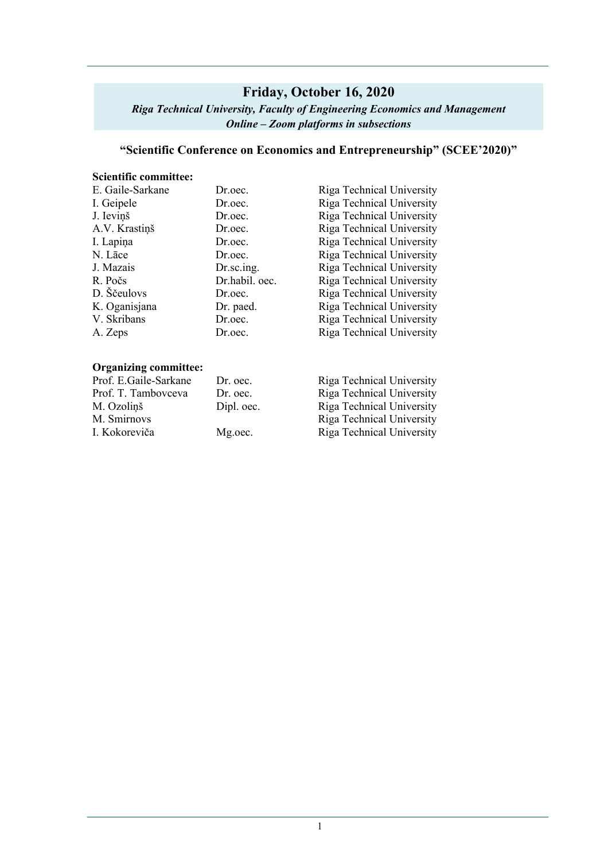# **Friday, October 16, 2020**

# *Riga Technical University, Faculty of Engineering Economics and Management Online – Zoom platforms in subsections*

## **"Scientific Conference on Economics and Entrepreneurship" (SCEE'2020)"**

## **Scientific committee:**

| E. Gaile-Sarkane | Dr.oec.        | Riga Technical University |
|------------------|----------------|---------------------------|
| I. Geipele       | Dr.oec.        | Riga Technical University |
| J. Ieviņš        | Dr.oec.        | Riga Technical University |
| A.V. Krastiņš    | Dr.oec.        | Riga Technical University |
| I. Lapina        | Dr.oec.        | Riga Technical University |
| N. Lāce          | Dr.oec.        | Riga Technical University |
| J. Mazais        | Dr.sc.ing.     | Riga Technical University |
| R. Počs          | Dr.habil. oec. | Riga Technical University |
| D. Ščeulovs      | Dr.oec.        | Riga Technical University |
| K. Oganisjana    | Dr. paed.      | Riga Technical University |
| V. Skribans      | Dr.oec.        | Riga Technical University |
| A. Zeps          | Dr.oec.        | Riga Technical University |
|                  |                |                           |

#### **Organizing committee:**

| Prof. E.Gaile-Sarkane | Dr. oec.   | Riga Technical University |
|-----------------------|------------|---------------------------|
| Prof. T. Tambovceva   | Dr. oec.   | Riga Technical University |
| M. Ozoliņš            | Dipl. oec. | Riga Technical University |
| M. Smirnovs           |            | Riga Technical University |
| I. Kokoreviča         | Mg.oec.    | Riga Technical University |
|                       |            |                           |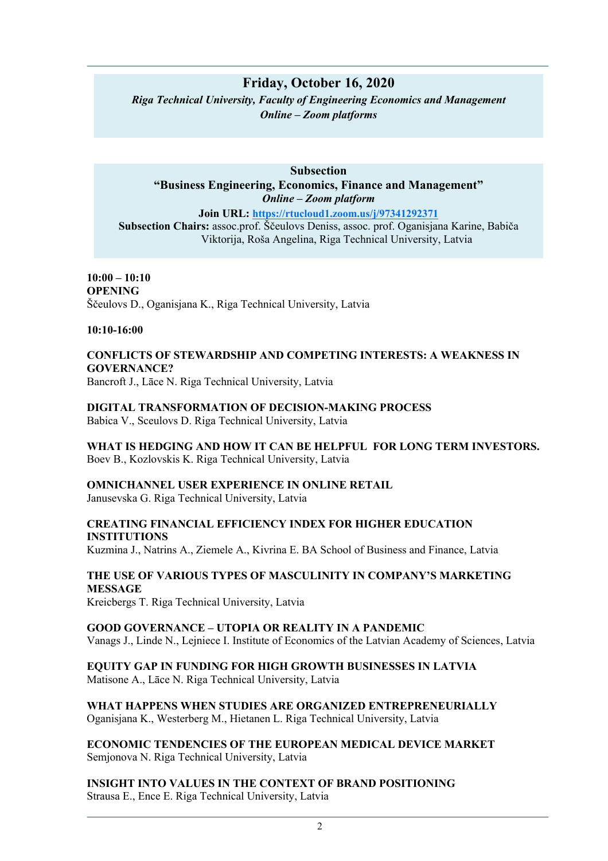# **Friday, October 16, 2020**

*Riga Technical University, Faculty of Engineering Economics and Management Online – Zoom platforms*

**Subsection "Business Engineering, Economics, Finance and Management"** *Online – Zoom platform* **Join URL: https://rtucloud1.zoom.us/j/97341292371 Subsection Chairs:** assoc.prof. Ščeulovs Deniss, assoc. prof. Oganisjana Karine, Babiča

Viktorija, Roša Angelina, Riga Technical University, Latvia

**10:00 – 10:10 OPENING**  Ščeulovs D., Oganisjana K., Riga Technical University, Latvia

**10:10-16:00**

**CONFLICTS OF STEWARDSHIP AND COMPETING INTERESTS: A WEAKNESS IN GOVERNANCE?** Bancroft J., Lāce N. Riga Technical University, Latvia

**DIGITAL TRANSFORMATION OF DECISION-MAKING PROCESS** Babica V., Sceulovs D. Riga Technical University, Latvia

**WHAT IS HEDGING AND HOW IT CAN BE HELPFUL FOR LONG TERM INVESTORS.** Boev B., Kozlovskis K. Riga Technical University, Latvia

**OMNICHANNEL USER EXPERIENCE IN ONLINE RETAIL** Janusevska G. Riga Technical University, Latvia

**CREATING FINANCIAL EFFICIENCY INDEX FOR HIGHER EDUCATION INSTITUTIONS** Kuzmina J., Natrins A., Ziemele A., Kivrina E. BA School of Business and Finance, Latvia

**THE USE OF VARIOUS TYPES OF MASCULINITY IN COMPANY'S MARKETING MESSAGE**

Kreicbergs T. Riga Technical University, Latvia

**GOOD GOVERNANCE – UTOPIA OR REALITY IN A PANDEMIC** Vanags J., Linde N., Lejniece I. Institute of Economics of the Latvian Academy of Sciences, Latvia

**EQUITY GAP IN FUNDING FOR HIGH GROWTH BUSINESSES IN LATVIA** Matisone A., Lāce N. Riga Technical University, Latvia

**WHAT HAPPENS WHEN STUDIES ARE ORGANIZED ENTREPRENEURIALLY** Oganisjana K., Westerberg M., Hietanen L. Riga Technical University, Latvia

**ECONOMIC TENDENCIES OF THE EUROPEAN MEDICAL DEVICE MARKET** Semjonova N. Riga Technical University, Latvia

**INSIGHT INTO VALUES IN THE CONTEXT OF BRAND POSITIONING** Strausa E., Ence E. Riga Technical University, Latvia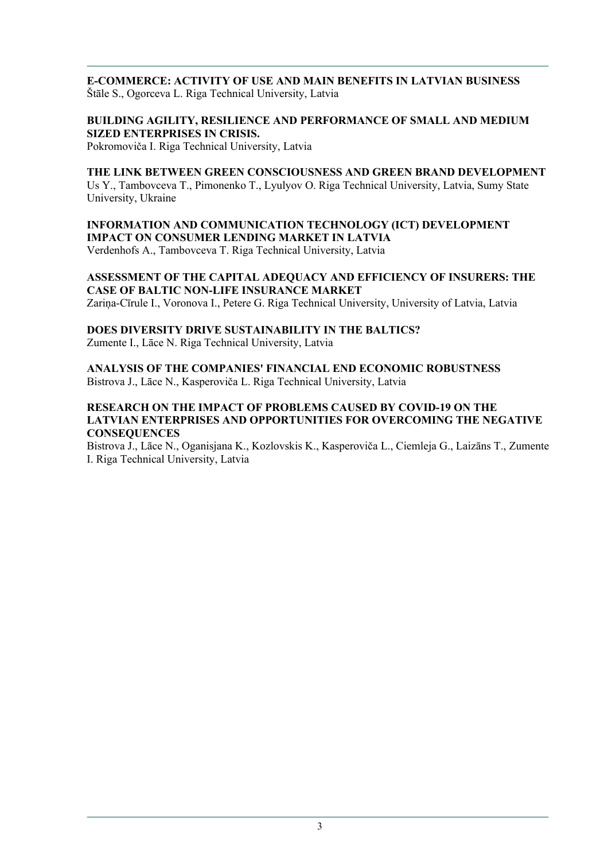## **E-COMMERCE: ACTIVITY OF USE AND MAIN BENEFITS IN LATVIAN BUSINESS** Štāle S., Ogorceva L. Riga Technical University, Latvia

#### **BUILDING AGILITY, RESILIENCE AND PERFORMANCE OF SMALL AND MEDIUM SIZED ENTERPRISES IN CRISIS.**

Pokromoviča I. Riga Technical University, Latvia

#### **THE LINK BETWEEN GREEN CONSCIOUSNESS AND GREEN BRAND DEVELOPMENT**

Us Y., Tambovceva T., Pimonenko T., Lyulyov O. Riga Technical University, Latvia, Sumy State University, Ukraine

#### **INFORMATION AND COMMUNICATION TECHNOLOGY (ICT) DEVELOPMENT IMPACT ON CONSUMER LENDING MARKET IN LATVIA**

Verdenhofs A., Tambovceva T. Riga Technical University, Latvia

#### **ASSESSMENT OF THE CAPITAL ADEQUACY AND EFFICIENCY OF INSURERS: THE CASE OF BALTIC NON-LIFE INSURANCE MARKET**

Zariņa-Cīrule I., Voronova I., Petere G. Riga Technical University, University of Latvia, Latvia

#### **DOES DIVERSITY DRIVE SUSTAINABILITY IN THE BALTICS?**

Zumente I., Lāce N. Riga Technical University, Latvia

#### **ANALYSIS OF THE COMPANIES' FINANCIAL END ECONOMIC ROBUSTNESS** Bistrova J., Lāce N., Kasperoviča L. Riga Technical University, Latvia

#### **RESEARCH ON THE IMPACT OF PROBLEMS CAUSED BY COVID-19 ON THE LATVIAN ENTERPRISES AND OPPORTUNITIES FOR OVERCOMING THE NEGATIVE CONSEQUENCES**

Bistrova J., Lāce N., Oganisjana K., Kozlovskis K., Kasperoviča L., Ciemleja G., Laizāns T., Zumente I. Riga Technical University, Latvia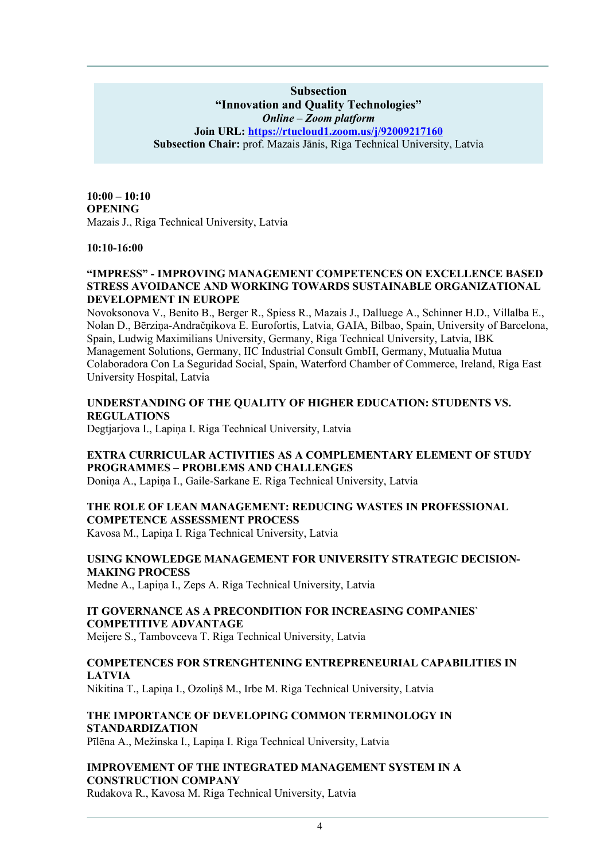#### **Subsection "Innovation and Quality Technologies"** *Online – Zoom platform* **Join URL: https://rtucloud1.zoom.us/j/92009217160 Subsection Chair:** prof. Mazais Jānis, Riga Technical University, Latvia

**10:00 – 10:10 OPENING**  Mazais J., Riga Technical University, Latvia

#### **10:10-16:00**

#### **"IMPRESS" - IMPROVING MANAGEMENT COMPETENCES ON EXCELLENCE BASED STRESS AVOIDANCE AND WORKING TOWARDS SUSTAINABLE ORGANIZATIONAL DEVELOPMENT IN EUROPE**

Novoksonova V., Benito B., Berger R., Spiess R., Mazais J., Dalluege A., Schinner H.D., Villalba E., Nolan D., Bērziņa-Andračņikova E. Eurofortis, Latvia, GAIA, Bilbao, Spain, University of Barcelona, Spain, Ludwig Maximilians University, Germany, Riga Technical University, Latvia, IBK Management Solutions, Germany, IIC Industrial Consult GmbH, Germany, Mutualia Mutua Colaboradora Con La Seguridad Social, Spain, Waterford Chamber of Commerce, Ireland, Riga East University Hospital, Latvia

#### **UNDERSTANDING OF THE QUALITY OF HIGHER EDUCATION: STUDENTS VS. REGULATIONS**

Degtjarjova I., Lapiņa I. Riga Technical University, Latvia

#### **EXTRA CURRICULAR ACTIVITIES AS A COMPLEMENTARY ELEMENT OF STUDY PROGRAMMES – PROBLEMS AND CHALLENGES**

Doniņa A., Lapiņa I., Gaile-Sarkane E. Riga Technical University, Latvia

#### **THE ROLE OF LEAN MANAGEMENT: REDUCING WASTES IN PROFESSIONAL COMPETENCE ASSESSMENT PROCESS**

Kavosa M., Lapiņa I. Riga Technical University, Latvia

# **USING KNOWLEDGE MANAGEMENT FOR UNIVERSITY STRATEGIC DECISION-MAKING PROCESS**

Medne A., Lapiņa I., Zeps A. Riga Technical University, Latvia

#### **IT GOVERNANCE AS A PRECONDITION FOR INCREASING COMPANIES` COMPETITIVE ADVANTAGE**

Meijere S., Tambovceva T. Riga Technical University, Latvia

#### **COMPETENCES FOR STRENGHTENING ENTREPRENEURIAL CAPABILITIES IN LATVIA**

Nikitina T., Lapiņa I., Ozoliņš M., Irbe M. Riga Technical University, Latvia

#### **THE IMPORTANCE OF DEVELOPING COMMON TERMINOLOGY IN STANDARDIZATION**

Pīlēna A., Mežinska I., Lapiņa I. Riga Technical University, Latvia

#### **IMPROVEMENT OF THE INTEGRATED MANAGEMENT SYSTEM IN A CONSTRUCTION COMPANY**

Rudakova R., Kavosa M. Riga Technical University, Latvia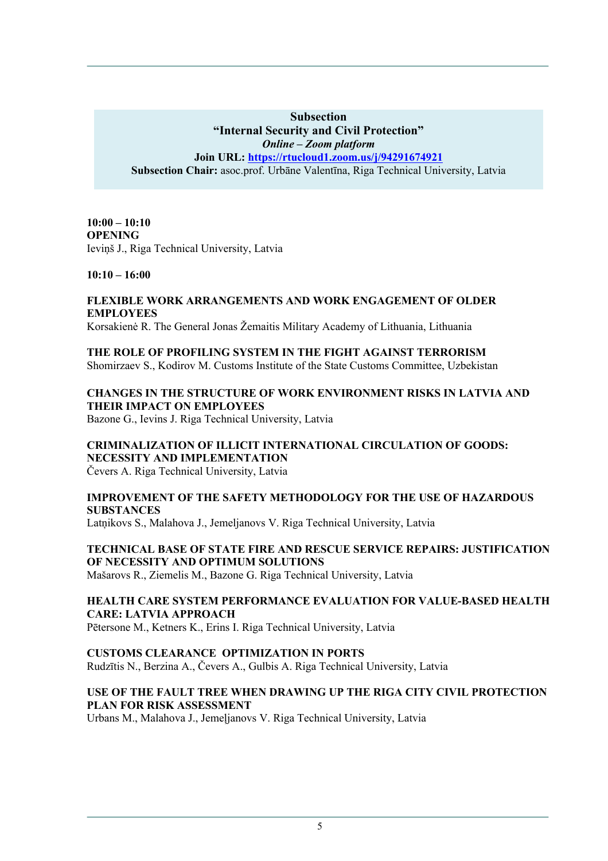#### **Subsection "Internal Security and Civil Protection"**  *Online – Zoom platform* **Join URL: https://rtucloud1.zoom.us/j/94291674921 Subsection Chair:** asoc.prof. Urbāne Valentīna, Riga Technical University, Latvia

**10:00 – 10:10 OPENING**  Ieviņš J., Riga Technical University, Latvia

**10:10 – 16:00**

# **FLEXIBLE WORK ARRANGEMENTS AND WORK ENGAGEMENT OF OLDER EMPLOYEES**

Korsakienė R. The General Jonas Žemaitis Military Academy of Lithuania, Lithuania

#### **THE ROLE OF PROFILING SYSTEM IN THE FIGHT AGAINST TERRORISM**

Shomirzaev S., Kodirov M. Customs Institute of the State Customs Committee, Uzbekistan

## **CHANGES IN THE STRUCTURE OF WORK ENVIRONMENT RISKS IN LATVIA AND THEIR IMPACT ON EMPLOYEES**

Bazone G., Ievins J. Riga Technical University, Latvia

## **CRIMINALIZATION OF ILLICIT INTERNATIONAL CIRCULATION OF GOODS: NECESSITY AND IMPLEMENTATION**

Čevers A. Riga Technical University, Latvia

## **IMPROVEMENT OF THE SAFETY METHODOLOGY FOR THE USE OF HAZARDOUS SUBSTANCES**

Latņikovs S., Malahova J., Jemeljanovs V. Riga Technical University, Latvia

#### **TECHNICAL BASE OF STATE FIRE AND RESCUE SERVICE REPAIRS: JUSTIFICATION OF NECESSITY AND OPTIMUM SOLUTIONS**

Mašarovs R., Ziemelis M., Bazone G. Riga Technical University, Latvia

## **HEALTH CARE SYSTEM PERFORMANCE EVALUATION FOR VALUE-BASED HEALTH CARE: LATVIA APPROACH**

Pētersone M., Ketners K., Erins I. Riga Technical University, Latvia

#### **CUSTOMS CLEARANCE OPTIMIZATION IN PORTS**

Rudzītis N., Berzina A., Čevers A., Gulbis A. Riga Technical University, Latvia

## **USE OF THE FAULT TREE WHEN DRAWING UP THE RIGA CITY CIVIL PROTECTION PLAN FOR RISK ASSESSMENT**

Urbans M., Malahova J., Jemeļjanovs V. Riga Technical University, Latvia